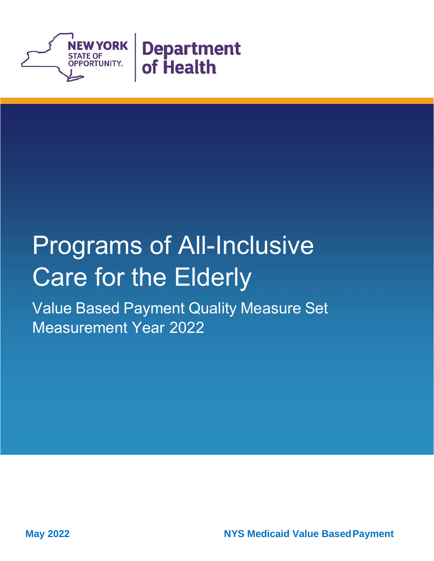

# Programs of All-Inclusive Care for the Elderly

Value Based Payment Quality Measure Set Measurement Year 2022

**May 2022** May 2022 **NYS Medicaid Value Based Payment**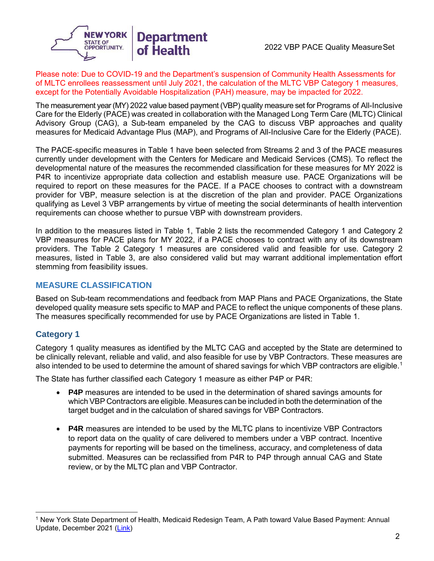

#### Please note: Due to COVID-19 and the Department's suspension of Community Health Assessments for of MLTC enrollees reassessment until July 2021, the calculation of the MLTC VBP Category 1 measures, except for the Potentially Avoidable Hospitalization (PAH) measure, may be impacted for 2022.

The measurement year (MY) 2022 value based payment (VBP) quality measure set for Programs of All-Inclusive Care for the Elderly (PACE) was created in collaboration with the Managed Long Term Care (MLTC) Clinical Advisory Group (CAG), a Sub-team empaneled by the CAG to discuss VBP approaches and quality measures for Medicaid Advantage Plus (MAP), and Programs of All-Inclusive Care for the Elderly (PACE).

The PACE-specific measures in Table 1 have been selected from Streams 2 and 3 of the PACE measures currently under development with the Centers for Medicare and Medicaid Services (CMS). To reflect the developmental nature of the measures the recommended classification for these measures for MY 2022 is P4R to incentivize appropriate data collection and establish measure use. PACE Organizations will be required to report on these measures for the PACE. If a PACE chooses to contract with a downstream provider for VBP, measure selection is at the discretion of the plan and provider. PACE Organizations qualifying as Level 3 VBP arrangements by virtue of meeting the social determinants of health intervention requirements can choose whether to pursue VBP with downstream providers.

In addition to the measures listed in Table 1, Table 2 lists the recommended Category 1 and Category 2 VBP measures for PACE plans for MY 2022, if a PACE chooses to contract with any of its downstream providers. The Table 2 Category 1 measures are considered valid and feasible for use. Category 2 measures, listed in Table 3, are also considered valid but may warrant additional implementation effort stemming from feasibility issues.

## **MEASURE CLASSIFICATION**

Based on Sub-team recommendations and feedback from MAP Plans and PACE Organizations, the State developed quality measure sets specific to MAP and PACE to reflect the unique components of these plans. The measures specifically recommended for use by PACE Organizations are listed in Table 1.

## **Category 1**

Category 1 quality measures as identified by the MLTC CAG and accepted by the State are determined to be clinically relevant, reliable and valid, and also feasible for use by VBP Contractors. These measures are also intended to be used to determine the amount of shared savings for which VBP contractors are eligible.<sup>1</sup>

The State has further classified each Category 1 measure as either P4P or P4R:

- **P4P** measures are intended to be used in the determination of shared savings amounts for which VBP Contractors are eligible. Measures can be included in both the determination of the target budget and in the calculation of shared savings for VBP Contractors.
- **P4R** measures are intended to be used by the MLTC plans to incentivize VBP Contractors to report data on the quality of care delivered to members under a VBP contract. Incentive payments for reporting will be based on the timeliness, accuracy, and completeness of data submitted. Measures can be reclassified from P4R to P4P through annual CAG and State review, or by the MLTC plan and VBP Contractor.

<sup>1</sup> New York State Department of Health, Medicaid Redesign Team, A Path toward Value Based Payment: Annual Update, December 2021 [\(Link\)](https://health.ny.gov/health_care/medicaid/redesign/vbp/roadmaps/docs/updated_vbp_roadmap.pdf)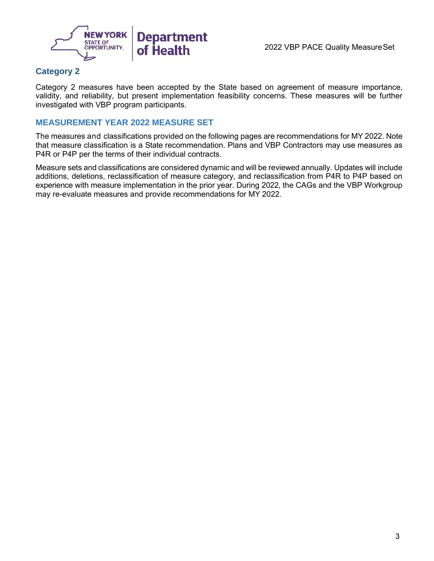

## **Category 2**

Category 2 measures have been accepted by the State based on agreement of measure importance, validity, and reliability, but present implementation feasibility concerns. These measures will be further investigated with VBP program participants.

#### **MEASUREMENT YEAR 2022 MEASURE SET**

The measures and classifications provided on the following pages are recommendations for MY 2022. Note that measure classification is a State recommendation. Plans and VBP Contractors may use measures as P4R or P4P per the terms of their individual contracts.

Measure sets and classifications are considered dynamic and will be reviewed annually. Updates will include additions, deletions, reclassification of measure category, and reclassification from P4R to P4P based on experience with measure implementation in the prior year. During 2022, the CAGs and the VBP Workgroup may re-evaluate measures and provide recommendations for MY 2022.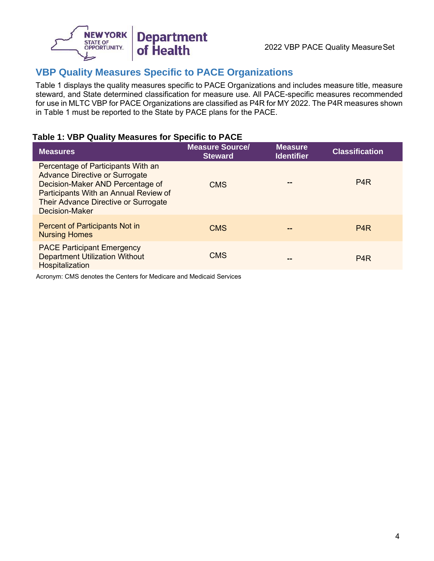

## **VBP Quality Measures Specific to PACE Organizations**

Table 1 displays the quality measures specific to PACE Organizations and includes measure title, measure steward, and State determined classification for measure use. All PACE-specific measures recommended for use in MLTC VBP for PACE Organizations are classified as P4R for MY 2022. The P4R measures shown in Table 1 must be reported to the State by PACE plans for the PACE.

## **Table 1: VBP Quality Measures for Specific to PACE**

| <b>Measures</b>                                                                                                                                                                                                           | <b>Measure Source/</b><br><b>Steward</b> | <b>Measure</b><br><b>Identifier</b> | <b>Classification</b> |
|---------------------------------------------------------------------------------------------------------------------------------------------------------------------------------------------------------------------------|------------------------------------------|-------------------------------------|-----------------------|
| Percentage of Participants With an<br><b>Advance Directive or Surrogate</b><br>Decision-Maker AND Percentage of<br>Participants With an Annual Review of<br>Their Advance Directive or Surrogate<br><b>Decision-Maker</b> | <b>CMS</b>                               |                                     | P <sub>4</sub> R      |
| <b>Percent of Participants Not in</b><br><b>Nursing Homes</b>                                                                                                                                                             | <b>CMS</b>                               | --                                  | P <sub>4</sub> R      |
| <b>PACE Participant Emergency</b><br><b>Department Utilization Without</b><br>Hospitalization                                                                                                                             | <b>CMS</b>                               | --                                  | P <sub>4</sub> R      |

Acronym: CMS denotes the Centers for Medicare and Medicaid Services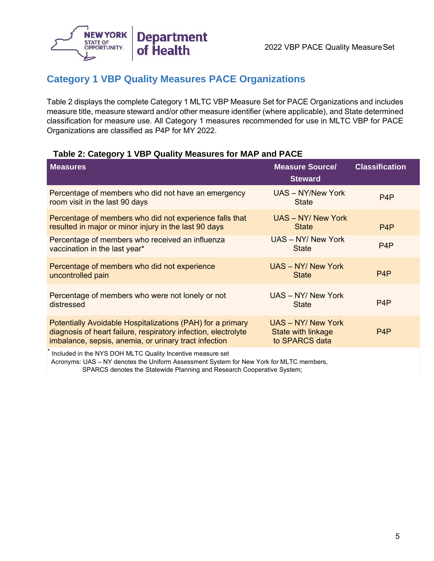

## **Category 1 VBP Quality Measures PACE Organizations**

Table 2 displays the complete Category 1 MLTC VBP Measure Set for PACE Organizations and includes measure title, measure steward and/or other measure identifier (where applicable), and State determined classification for measure use. All Category 1 measures recommended for use in MLTC VBP for PACE Organizations are classified as P4P for MY 2022.

## **Table 2: Category 1 VBP Quality Measures for MAP and PACE**

| <b>Measures</b>                                                                                                                                                                       | <b>Measure Source/</b><br><b>Steward</b>                   | <b>Classification</b> |
|---------------------------------------------------------------------------------------------------------------------------------------------------------------------------------------|------------------------------------------------------------|-----------------------|
| Percentage of members who did not have an emergency<br>room visit in the last 90 days                                                                                                 | UAS - NY/New York<br><b>State</b>                          | P <sub>4</sub> P      |
| Percentage of members who did not experience falls that<br>resulted in major or minor injury in the last 90 days                                                                      | UAS - NY/ New York<br><b>State</b>                         | P <sub>4</sub> P      |
| Percentage of members who received an influenza<br>vaccination in the last year*                                                                                                      | UAS - NY/ New York<br><b>State</b>                         | P <sub>4</sub> P      |
| Percentage of members who did not experience<br>uncontrolled pain                                                                                                                     | UAS - NY/ New York<br><b>State</b>                         | P <sub>4</sub> P      |
| Percentage of members who were not lonely or not<br>distressed                                                                                                                        | UAS - NY/ New York<br><b>State</b>                         | P <sub>4</sub> P      |
| Potentially Avoidable Hospitalizations (PAH) for a primary<br>diagnosis of heart failure, respiratory infection, electrolyte<br>imbalance, sepsis, anemia, or urinary tract infection | UAS - NY/ New York<br>State with linkage<br>to SPARCS data | P <sub>4</sub> P      |
| $\ast$                                                                                                                                                                                |                                                            |                       |

Included in the NYS DOH MLTC Quality Incentive measure set

 Acronyms: UAS – NY denotes the Uniform Assessment System for New York for MLTC members, SPARCS denotes the Statewide Planning and Research Cooperative System;